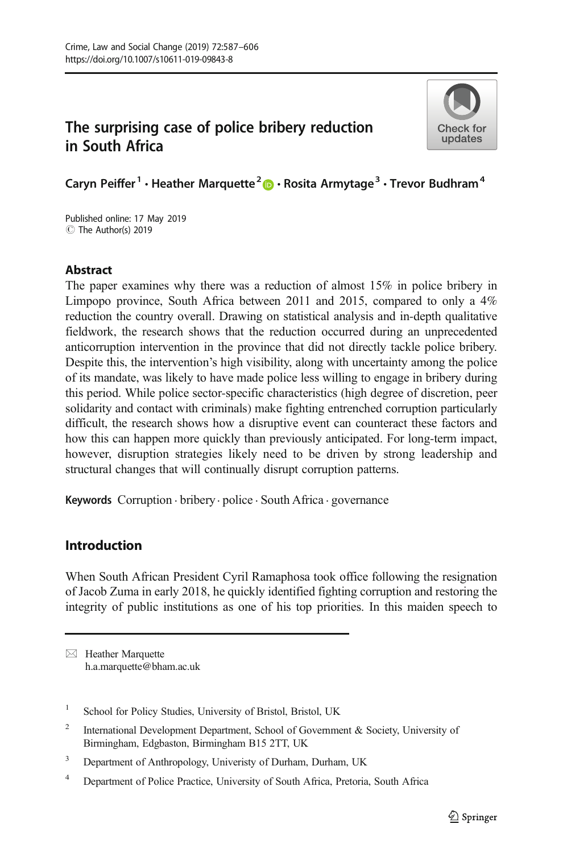# The surprising case of police bribery reduction in South Africa



Caryn Peiffer<sup>1</sup> • Heather Marquette<sup>2</sup>  $\bullet$  • Rosita Armytage<sup>3</sup> • Trevor Budhram<sup>4</sup>

 $\circledcirc$  The Author(s) 2019 Published online: 17 May 2019

# Abstract

The paper examines why there was a reduction of almost 15% in police bribery in Limpopo province, South Africa between 2011 and 2015, compared to only a 4% reduction the country overall. Drawing on statistical analysis and in-depth qualitative fieldwork, the research shows that the reduction occurred during an unprecedented anticorruption intervention in the province that did not directly tackle police bribery. Despite this, the intervention's high visibility, along with uncertainty among the police of its mandate, was likely to have made police less willing to engage in bribery during this period. While police sector-specific characteristics (high degree of discretion, peer solidarity and contact with criminals) make fighting entrenched corruption particularly difficult, the research shows how a disruptive event can counteract these factors and how this can happen more quickly than previously anticipated. For long-term impact, however, disruption strategies likely need to be driven by strong leadership and structural changes that will continually disrupt corruption patterns.

Keywords Corruption . bribery. police . South Africa . governance

# Introduction

When South African President Cyril Ramaphosa took office following the resignation of Jacob Zuma in early 2018, he quickly identified fighting corruption and restoring the integrity of public institutions as one of his top priorities. In this maiden speech to

 $\boxtimes$  Heather Marquette [h.a.marquette@bham.ac.uk](mailto:h.a.marquette@bham.ac.uk)

<sup>1</sup> School for Policy Studies, University of Bristol, Bristol, UK

- <sup>2</sup> International Development Department, School of Government & Society, University of Birmingham, Edgbaston, Birmingham B15 2TT, UK
- <sup>3</sup> Department of Anthropology, Univeristy of Durham, Durham, UK

<sup>4</sup> Department of Police Practice, University of South Africa, Pretoria, South Africa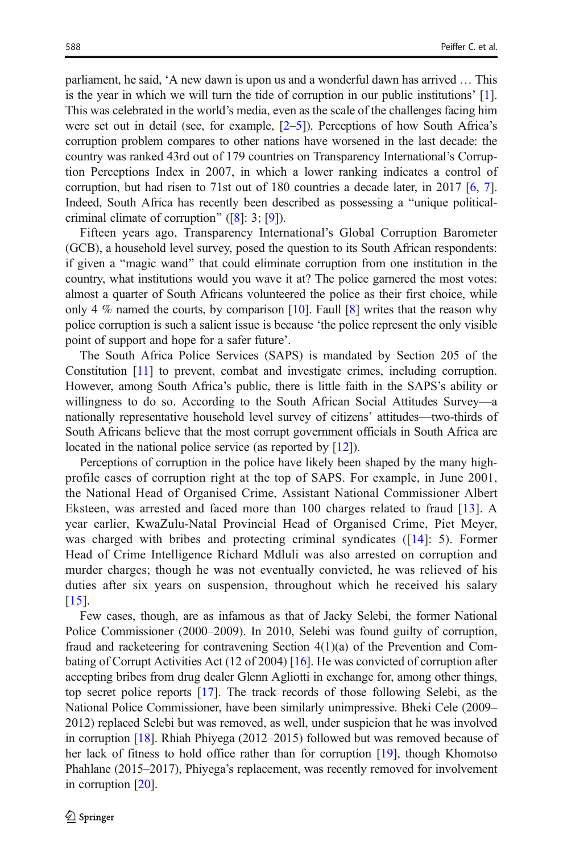parliament, he said, 'A new dawn is upon us and a wonderful dawn has arrived … This is the year in which we will turn the tide of corruption in our public institutions' [[1\]](#page-17-0). This was celebrated in the world's media, even as the scale of the challenges facing him were set out in detail (see, for example, [\[2](#page-17-0)–[5\]](#page-17-0)). Perceptions of how South Africa's corruption problem compares to other nations have worsened in the last decade: the country was ranked 43rd out of 179 countries on Transparency International's Corruption Perceptions Index in 2007, in which a lower ranking indicates a control of corruption, but had risen to 71st out of 180 countries a decade later, in 2017 [\[6,](#page-17-0) [7\]](#page-17-0). Indeed, South Africa has recently been described as possessing a "unique politicalcriminal climate of corruption" ( $[8]$  $[8]$  $[8]$ : 3;  $[9]$  $[9]$ ).

Fifteen years ago, Transparency International's Global Corruption Barometer (GCB), a household level survey, posed the question to its South African respondents: if given a "magic wand" that could eliminate corruption from one institution in the country, what institutions would you wave it at? The police garnered the most votes: almost a quarter of South Africans volunteered the police as their first choice, while only 4 % named the courts, by comparison  $[10]$  $[10]$ . Faull  $[8]$  $[8]$  writes that the reason why police corruption is such a salient issue is because 'the police represent the only visible point of support and hope for a safer future'.

The South Africa Police Services (SAPS) is mandated by Section 205 of the Constitution [[11\]](#page-17-0) to prevent, combat and investigate crimes, including corruption. However, among South Africa's public, there is little faith in the SAPS's ability or willingness to do so. According to the South African Social Attitudes Survey—a nationally representative household level survey of citizens' attitudes—two-thirds of South Africans believe that the most corrupt government officials in South Africa are located in the national police service (as reported by [[12\]](#page-17-0)).

Perceptions of corruption in the police have likely been shaped by the many highprofile cases of corruption right at the top of SAPS. For example, in June 2001, the National Head of Organised Crime, Assistant National Commissioner Albert Eksteen, was arrested and faced more than 100 charges related to fraud [[13](#page-17-0)]. A year earlier, KwaZulu-Natal Provincial Head of Organised Crime, Piet Meyer, was charged with bribes and protecting criminal syndicates ([[14](#page-17-0)]: 5). Former Head of Crime Intelligence Richard Mdluli was also arrested on corruption and murder charges; though he was not eventually convicted, he was relieved of his duties after six years on suspension, throughout which he received his salary [\[15\]](#page-17-0).

Few cases, though, are as infamous as that of Jacky Selebi, the former National Police Commissioner (2000–2009). In 2010, Selebi was found guilty of corruption, fraud and racketeering for contravening Section 4(1)(a) of the Prevention and Combating of Corrupt Activities Act (12 of 2004) [[16](#page-17-0)]. He was convicted of corruption after accepting bribes from drug dealer Glenn Agliotti in exchange for, among other things, top secret police reports [\[17](#page-17-0)]. The track records of those following Selebi, as the National Police Commissioner, have been similarly unimpressive. Bheki Cele (2009– 2012) replaced Selebi but was removed, as well, under suspicion that he was involved in corruption [[18](#page-17-0)]. Rhiah Phiyega (2012–2015) followed but was removed because of her lack of fitness to hold office rather than for corruption [\[19\]](#page-17-0), though Khomotso Phahlane (2015–2017), Phiyega's replacement, was recently removed for involvement in corruption [[20\]](#page-17-0).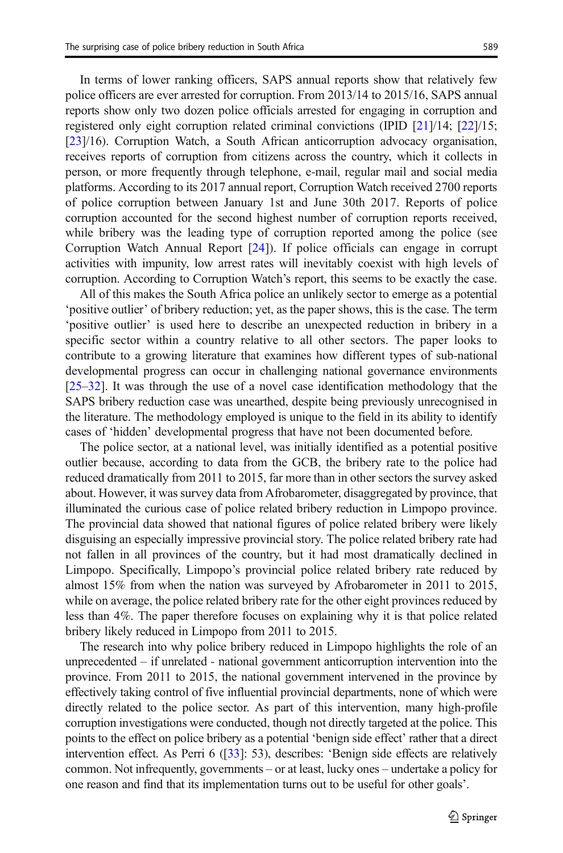In terms of lower ranking officers, SAPS annual reports show that relatively few police officers are ever arrested for corruption. From 2013/14 to 2015/16, SAPS annual reports show only two dozen police officials arrested for engaging in corruption and registered only eight corruption related criminal convictions (IPID [\[21](#page-17-0)]/14; [\[22](#page-18-0)]/15; [\[23\]](#page-18-0)/16). Corruption Watch, a South African anticorruption advocacy organisation, receives reports of corruption from citizens across the country, which it collects in person, or more frequently through telephone, e-mail, regular mail and social media platforms. According to its 2017 annual report, Corruption Watch received 2700 reports of police corruption between January 1st and June 30th 2017. Reports of police corruption accounted for the second highest number of corruption reports received, while bribery was the leading type of corruption reported among the police (see Corruption Watch Annual Report [\[24](#page-18-0)]). If police officials can engage in corrupt activities with impunity, low arrest rates will inevitably coexist with high levels of corruption. According to Corruption Watch's report, this seems to be exactly the case.

All of this makes the South Africa police an unlikely sector to emerge as a potential 'positive outlier' of bribery reduction; yet, as the paper shows, this is the case. The term 'positive outlier' is used here to describe an unexpected reduction in bribery in a specific sector within a country relative to all other sectors. The paper looks to contribute to a growing literature that examines how different types of sub-national developmental progress can occur in challenging national governance environments [\[25](#page-18-0)–[32\]](#page-18-0). It was through the use of a novel case identification methodology that the SAPS bribery reduction case was unearthed, despite being previously unrecognised in the literature. The methodology employed is unique to the field in its ability to identify cases of 'hidden' developmental progress that have not been documented before.

The police sector, at a national level, was initially identified as a potential positive outlier because, according to data from the GCB, the bribery rate to the police had reduced dramatically from 2011 to 2015, far more than in other sectors the survey asked about. However, it was survey data from Afrobarometer, disaggregated by province, that illuminated the curious case of police related bribery reduction in Limpopo province. The provincial data showed that national figures of police related bribery were likely disguising an especially impressive provincial story. The police related bribery rate had not fallen in all provinces of the country, but it had most dramatically declined in Limpopo. Specifically, Limpopo's provincial police related bribery rate reduced by almost 15% from when the nation was surveyed by Afrobarometer in 2011 to 2015, while on average, the police related bribery rate for the other eight provinces reduced by less than 4%. The paper therefore focuses on explaining why it is that police related bribery likely reduced in Limpopo from 2011 to 2015.

The research into why police bribery reduced in Limpopo highlights the role of an unprecedented – if unrelated - national government anticorruption intervention into the province. From 2011 to 2015, the national government intervened in the province by effectively taking control of five influential provincial departments, none of which were directly related to the police sector. As part of this intervention, many high-profile corruption investigations were conducted, though not directly targeted at the police. This points to the effect on police bribery as a potential 'benign side effect' rather that a direct intervention effect. As Perri 6 ([[33](#page-18-0)]: 53), describes: 'Benign side effects are relatively common. Not infrequently, governments – or at least, lucky ones – undertake a policy for one reason and find that its implementation turns out to be useful for other goals'.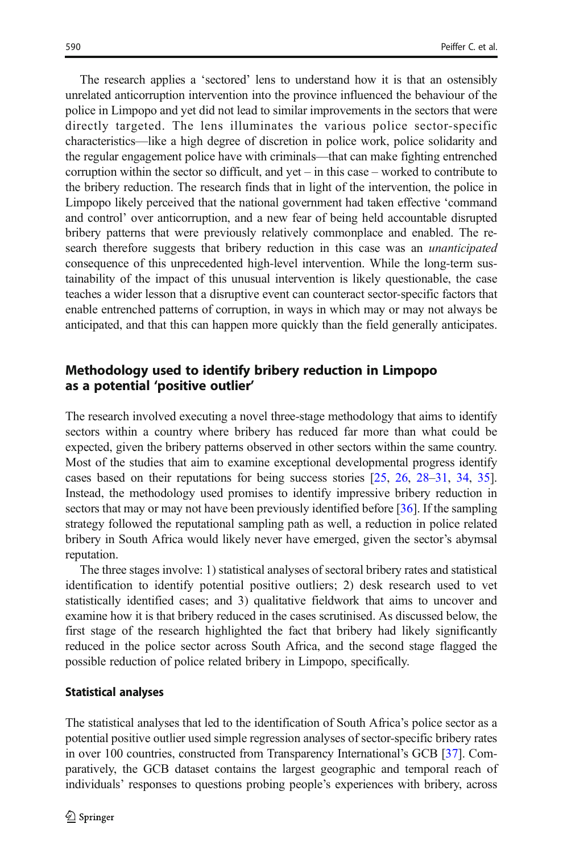The research applies a 'sectored' lens to understand how it is that an ostensibly unrelated anticorruption intervention into the province influenced the behaviour of the police in Limpopo and yet did not lead to similar improvements in the sectors that were directly targeted. The lens illuminates the various police sector-specific characteristics—like a high degree of discretion in police work, police solidarity and the regular engagement police have with criminals—that can make fighting entrenched corruption within the sector so difficult, and yet – in this case – worked to contribute to the bribery reduction. The research finds that in light of the intervention, the police in Limpopo likely perceived that the national government had taken effective 'command and control' over anticorruption, and a new fear of being held accountable disrupted bribery patterns that were previously relatively commonplace and enabled. The research therefore suggests that bribery reduction in this case was an *unanticipated* consequence of this unprecedented high-level intervention. While the long-term sustainability of the impact of this unusual intervention is likely questionable, the case teaches a wider lesson that a disruptive event can counteract sector-specific factors that enable entrenched patterns of corruption, in ways in which may or may not always be anticipated, and that this can happen more quickly than the field generally anticipates.

# Methodology used to identify bribery reduction in Limpopo as a potential 'positive outlier'

The research involved executing a novel three-stage methodology that aims to identify sectors within a country where bribery has reduced far more than what could be expected, given the bribery patterns observed in other sectors within the same country. Most of the studies that aim to examine exceptional developmental progress identify cases based on their reputations for being success stories [\[25](#page-18-0), [26,](#page-18-0) [28](#page-18-0)–[31,](#page-18-0) [34](#page-18-0), [35\]](#page-18-0). Instead, the methodology used promises to identify impressive bribery reduction in sectors that may or may not have been previously identified before [[36](#page-18-0)]. If the sampling strategy followed the reputational sampling path as well, a reduction in police related bribery in South Africa would likely never have emerged, given the sector's abymsal reputation.

The three stages involve: 1) statistical analyses of sectoral bribery rates and statistical identification to identify potential positive outliers; 2) desk research used to vet statistically identified cases; and 3) qualitative fieldwork that aims to uncover and examine how it is that bribery reduced in the cases scrutinised. As discussed below, the first stage of the research highlighted the fact that bribery had likely significantly reduced in the police sector across South Africa, and the second stage flagged the possible reduction of police related bribery in Limpopo, specifically.

#### Statistical analyses

The statistical analyses that led to the identification of South Africa's police sector as a potential positive outlier used simple regression analyses of sector-specific bribery rates in over 100 countries, constructed from Transparency International's GCB [[37\]](#page-18-0). Comparatively, the GCB dataset contains the largest geographic and temporal reach of individuals' responses to questions probing people's experiences with bribery, across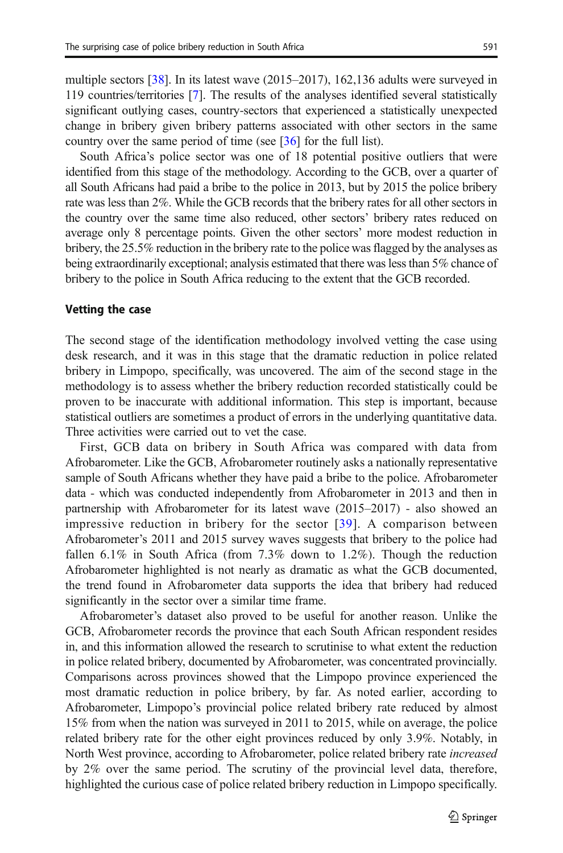multiple sectors [\[38](#page-18-0)]. In its latest wave (2015–2017), 162,136 adults were surveyed in 119 countries/territories [\[7](#page-17-0)]. The results of the analyses identified several statistically significant outlying cases, country-sectors that experienced a statistically unexpected change in bribery given bribery patterns associated with other sectors in the same country over the same period of time (see [[36](#page-18-0)] for the full list).

South Africa's police sector was one of 18 potential positive outliers that were identified from this stage of the methodology. According to the GCB, over a quarter of all South Africans had paid a bribe to the police in 2013, but by 2015 the police bribery rate was less than 2%. While the GCB records that the bribery rates for all other sectors in the country over the same time also reduced, other sectors' bribery rates reduced on average only 8 percentage points. Given the other sectors' more modest reduction in bribery, the 25.5% reduction in the bribery rate to the police was flagged by the analyses as being extraordinarily exceptional; analysis estimated that there was less than 5% chance of bribery to the police in South Africa reducing to the extent that the GCB recorded.

#### Vetting the case

The second stage of the identification methodology involved vetting the case using desk research, and it was in this stage that the dramatic reduction in police related bribery in Limpopo, specifically, was uncovered. The aim of the second stage in the methodology is to assess whether the bribery reduction recorded statistically could be proven to be inaccurate with additional information. This step is important, because statistical outliers are sometimes a product of errors in the underlying quantitative data. Three activities were carried out to vet the case.

First, GCB data on bribery in South Africa was compared with data from Afrobarometer. Like the GCB, Afrobarometer routinely asks a nationally representative sample of South Africans whether they have paid a bribe to the police. Afrobarometer data - which was conducted independently from Afrobarometer in 2013 and then in partnership with Afrobarometer for its latest wave (2015–2017) - also showed an impressive reduction in bribery for the sector  $[39]$  $[39]$ . A comparison between Afrobarometer's 2011 and 2015 survey waves suggests that bribery to the police had fallen  $6.1\%$  in South Africa (from  $7.3\%$  down to  $1.2\%$ ). Though the reduction Afrobarometer highlighted is not nearly as dramatic as what the GCB documented, the trend found in Afrobarometer data supports the idea that bribery had reduced significantly in the sector over a similar time frame.

Afrobarometer's dataset also proved to be useful for another reason. Unlike the GCB, Afrobarometer records the province that each South African respondent resides in, and this information allowed the research to scrutinise to what extent the reduction in police related bribery, documented by Afrobarometer, was concentrated provincially. Comparisons across provinces showed that the Limpopo province experienced the most dramatic reduction in police bribery, by far. As noted earlier, according to Afrobarometer, Limpopo's provincial police related bribery rate reduced by almost 15% from when the nation was surveyed in 2011 to 2015, while on average, the police related bribery rate for the other eight provinces reduced by only 3.9%. Notably, in North West province, according to Afrobarometer, police related bribery rate increased by 2% over the same period. The scrutiny of the provincial level data, therefore, highlighted the curious case of police related bribery reduction in Limpopo specifically.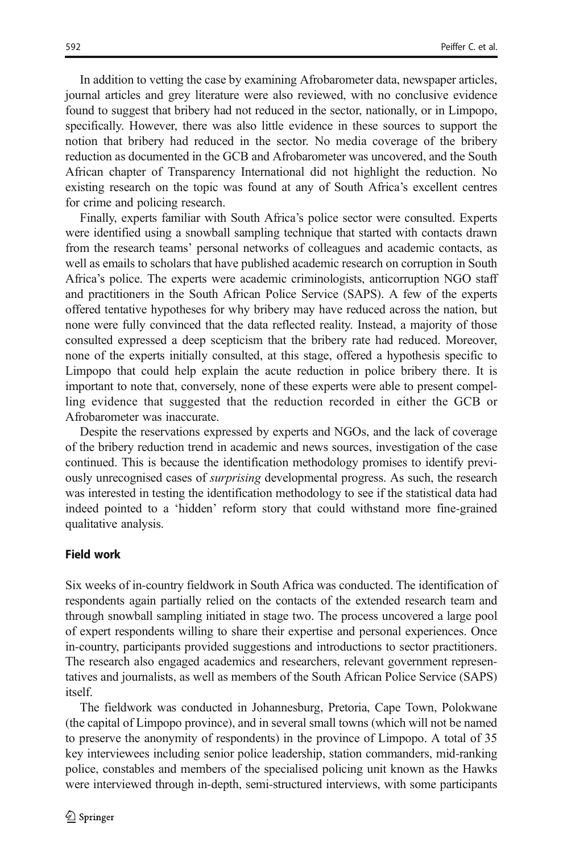In addition to vetting the case by examining Afrobarometer data, newspaper articles, journal articles and grey literature were also reviewed, with no conclusive evidence found to suggest that bribery had not reduced in the sector, nationally, or in Limpopo, specifically. However, there was also little evidence in these sources to support the notion that bribery had reduced in the sector. No media coverage of the bribery reduction as documented in the GCB and Afrobarometer was uncovered, and the South African chapter of Transparency International did not highlight the reduction. No existing research on the topic was found at any of South Africa's excellent centres for crime and policing research.

Finally, experts familiar with South Africa's police sector were consulted. Experts were identified using a snowball sampling technique that started with contacts drawn from the research teams' personal networks of colleagues and academic contacts, as well as emails to scholars that have published academic research on corruption in South Africa's police. The experts were academic criminologists, anticorruption NGO staff and practitioners in the South African Police Service (SAPS). A few of the experts offered tentative hypotheses for why bribery may have reduced across the nation, but none were fully convinced that the data reflected reality. Instead, a majority of those consulted expressed a deep scepticism that the bribery rate had reduced. Moreover, none of the experts initially consulted, at this stage, offered a hypothesis specific to Limpopo that could help explain the acute reduction in police bribery there. It is important to note that, conversely, none of these experts were able to present compelling evidence that suggested that the reduction recorded in either the GCB or Afrobarometer was inaccurate.

Despite the reservations expressed by experts and NGOs, and the lack of coverage of the bribery reduction trend in academic and news sources, investigation of the case continued. This is because the identification methodology promises to identify previously unrecognised cases of surprising developmental progress. As such, the research was interested in testing the identification methodology to see if the statistical data had indeed pointed to a 'hidden' reform story that could withstand more fine-grained qualitative analysis.

#### Field work

Six weeks of in-country fieldwork in South Africa was conducted. The identification of respondents again partially relied on the contacts of the extended research team and through snowball sampling initiated in stage two. The process uncovered a large pool of expert respondents willing to share their expertise and personal experiences. Once in-country, participants provided suggestions and introductions to sector practitioners. The research also engaged academics and researchers, relevant government representatives and journalists, as well as members of the South African Police Service (SAPS) itself.

The fieldwork was conducted in Johannesburg, Pretoria, Cape Town, Polokwane (the capital of Limpopo province), and in several small towns (which will not be named to preserve the anonymity of respondents) in the province of Limpopo. A total of 35 key interviewees including senior police leadership, station commanders, mid-ranking police, constables and members of the specialised policing unit known as the Hawks were interviewed through in-depth, semi-structured interviews, with some participants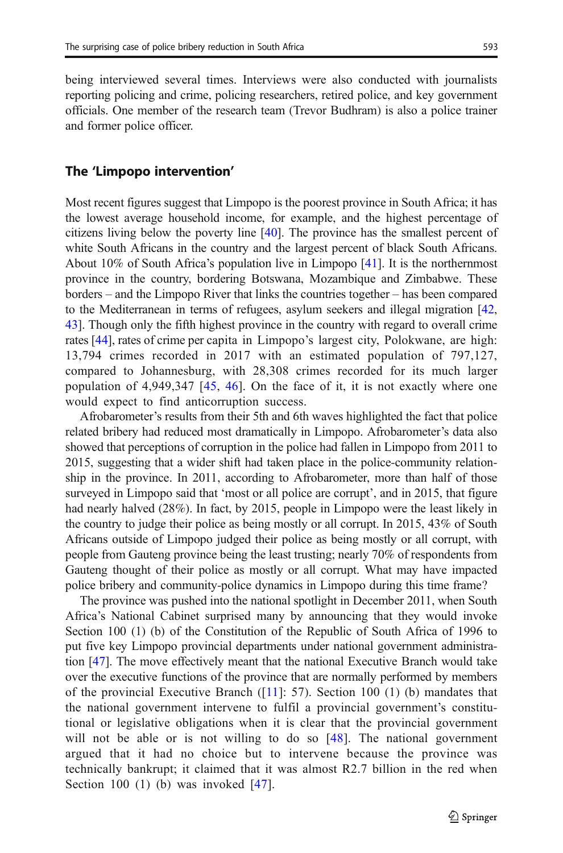being interviewed several times. Interviews were also conducted with journalists reporting policing and crime, policing researchers, retired police, and key government officials. One member of the research team (Trevor Budhram) is also a police trainer and former police officer.

#### The 'Limpopo intervention'

Most recent figures suggest that Limpopo is the poorest province in South Africa; it has the lowest average household income, for example, and the highest percentage of citizens living below the poverty line [[40](#page-18-0)]. The province has the smallest percent of white South Africans in the country and the largest percent of black South Africans. About 10% of South Africa's population live in Limpopo [\[41\]](#page-18-0). It is the northernmost province in the country, bordering Botswana, Mozambique and Zimbabwe. These borders – and the Limpopo River that links the countries together – has been compared to the Mediterranean in terms of refugees, asylum seekers and illegal migration [\[42,](#page-18-0) [43\]](#page-18-0). Though only the fifth highest province in the country with regard to overall crime rates [\[44](#page-18-0)], rates of crime per capita in Limpopo's largest city, Polokwane, are high: 13,794 crimes recorded in 2017 with an estimated population of 797,127, compared to Johannesburg, with 28,308 crimes recorded for its much larger population of 4,949,347 [\[45](#page-18-0), [46](#page-18-0)]. On the face of it, it is not exactly where one would expect to find anticorruption success.

Afrobarometer's results from their 5th and 6th waves highlighted the fact that police related bribery had reduced most dramatically in Limpopo. Afrobarometer's data also showed that perceptions of corruption in the police had fallen in Limpopo from 2011 to 2015, suggesting that a wider shift had taken place in the police-community relationship in the province. In 2011, according to Afrobarometer, more than half of those surveyed in Limpopo said that 'most or all police are corrupt', and in 2015, that figure had nearly halved (28%). In fact, by 2015, people in Limpopo were the least likely in the country to judge their police as being mostly or all corrupt. In 2015, 43% of South Africans outside of Limpopo judged their police as being mostly or all corrupt, with people from Gauteng province being the least trusting; nearly 70% of respondents from Gauteng thought of their police as mostly or all corrupt. What may have impacted police bribery and community-police dynamics in Limpopo during this time frame?

The province was pushed into the national spotlight in December 2011, when South Africa's National Cabinet surprised many by announcing that they would invoke Section 100 (1) (b) of the Constitution of the Republic of South Africa of 1996 to put five key Limpopo provincial departments under national government administration [\[47](#page-18-0)]. The move effectively meant that the national Executive Branch would take over the executive functions of the province that are normally performed by members of the provincial Executive Branch ([[11\]](#page-17-0): 57). Section 100 (1) (b) mandates that the national government intervene to fulfil a provincial government's constitutional or legislative obligations when it is clear that the provincial government will not be able or is not willing to do so  $[48]$  $[48]$  $[48]$ . The national government argued that it had no choice but to intervene because the province was technically bankrupt; it claimed that it was almost R2.7 billion in the red when Section 100 (1) (b) was invoked  $[47]$  $[47]$ .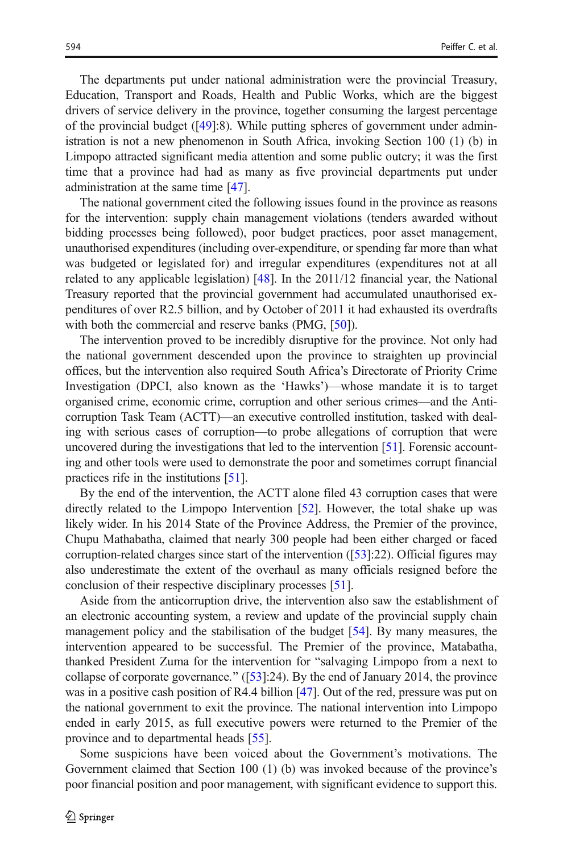The departments put under national administration were the provincial Treasury, Education, Transport and Roads, Health and Public Works, which are the biggest drivers of service delivery in the province, together consuming the largest percentage of the provincial budget  $(1491:8)$  $(1491:8)$  $(1491:8)$ . While putting spheres of government under administration is not a new phenomenon in South Africa, invoking Section 100 (1) (b) in Limpopo attracted significant media attention and some public outcry; it was the first time that a province had had as many as five provincial departments put under administration at the same time [\[47](#page-18-0)].

The national government cited the following issues found in the province as reasons for the intervention: supply chain management violations (tenders awarded without bidding processes being followed), poor budget practices, poor asset management, unauthorised expenditures (including over-expenditure, or spending far more than what was budgeted or legislated for) and irregular expenditures (expenditures not at all related to any applicable legislation)  $[48]$ . In the 2011/12 financial year, the National Treasury reported that the provincial government had accumulated unauthorised expenditures of over R2.5 billion, and by October of 2011 it had exhausted its overdrafts with both the commercial and reserve banks (PMG, [\[50\]](#page-19-0)).

The intervention proved to be incredibly disruptive for the province. Not only had the national government descended upon the province to straighten up provincial offices, but the intervention also required South Africa's Directorate of Priority Crime Investigation (DPCI, also known as the 'Hawks')—whose mandate it is to target organised crime, economic crime, corruption and other serious crimes—and the Anticorruption Task Team (ACTT)—an executive controlled institution, tasked with dealing with serious cases of corruption—to probe allegations of corruption that were uncovered during the investigations that led to the intervention [\[51\]](#page-19-0). Forensic accounting and other tools were used to demonstrate the poor and sometimes corrupt financial practices rife in the institutions [\[51\]](#page-19-0).

By the end of the intervention, the ACTT alone filed 43 corruption cases that were directly related to the Limpopo Intervention [[52](#page-19-0)]. However, the total shake up was likely wider. In his 2014 State of the Province Address, the Premier of the province, Chupu Mathabatha, claimed that nearly 300 people had been either charged or faced corruption-related charges since start of the intervention ([[53](#page-19-0)]:22). Official figures may also underestimate the extent of the overhaul as many officials resigned before the conclusion of their respective disciplinary processes [[51\]](#page-19-0).

Aside from the anticorruption drive, the intervention also saw the establishment of an electronic accounting system, a review and update of the provincial supply chain management policy and the stabilisation of the budget [\[54](#page-19-0)]. By many measures, the intervention appeared to be successful. The Premier of the province, Matabatha, thanked President Zuma for the intervention for "salvaging Limpopo from a next to collapse of corporate governance."  $(53]$ :24). By the end of January 2014, the province was in a positive cash position of R4.4 billion [\[47](#page-18-0)]. Out of the red, pressure was put on the national government to exit the province. The national intervention into Limpopo ended in early 2015, as full executive powers were returned to the Premier of the province and to departmental heads [[55\]](#page-19-0).

Some suspicions have been voiced about the Government's motivations. The Government claimed that Section 100 (1) (b) was invoked because of the province's poor financial position and poor management, with significant evidence to support this.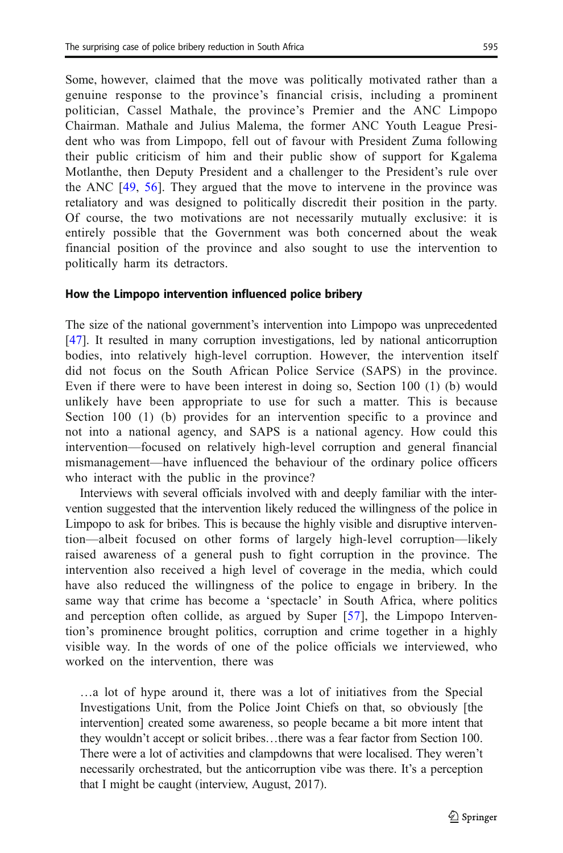Some, however, claimed that the move was politically motivated rather than a genuine response to the province's financial crisis, including a prominent politician, Cassel Mathale, the province's Premier and the ANC Limpopo Chairman. Mathale and Julius Malema, the former ANC Youth League President who was from Limpopo, fell out of favour with President Zuma following their public criticism of him and their public show of support for Kgalema Motlanthe, then Deputy President and a challenger to the President's rule over the ANC [[49](#page-19-0), [56](#page-19-0)]. They argued that the move to intervene in the province was retaliatory and was designed to politically discredit their position in the party. Of course, the two motivations are not necessarily mutually exclusive: it is entirely possible that the Government was both concerned about the weak financial position of the province and also sought to use the intervention to politically harm its detractors.

# How the Limpopo intervention influenced police bribery

The size of the national government's intervention into Limpopo was unprecedented [\[47](#page-18-0)]. It resulted in many corruption investigations, led by national anticorruption bodies, into relatively high-level corruption. However, the intervention itself did not focus on the South African Police Service (SAPS) in the province. Even if there were to have been interest in doing so, Section 100 (1) (b) would unlikely have been appropriate to use for such a matter. This is because Section 100 (1) (b) provides for an intervention specific to a province and not into a national agency, and SAPS is a national agency. How could this intervention—focused on relatively high-level corruption and general financial mismanagement—have influenced the behaviour of the ordinary police officers who interact with the public in the province?

Interviews with several officials involved with and deeply familiar with the intervention suggested that the intervention likely reduced the willingness of the police in Limpopo to ask for bribes. This is because the highly visible and disruptive intervention—albeit focused on other forms of largely high-level corruption—likely raised awareness of a general push to fight corruption in the province. The intervention also received a high level of coverage in the media, which could have also reduced the willingness of the police to engage in bribery. In the same way that crime has become a 'spectacle' in South Africa, where politics and perception often collide, as argued by Super [\[57](#page-19-0)], the Limpopo Intervention's prominence brought politics, corruption and crime together in a highly visible way. In the words of one of the police officials we interviewed, who worked on the intervention, there was

…a lot of hype around it, there was a lot of initiatives from the Special Investigations Unit, from the Police Joint Chiefs on that, so obviously [the intervention] created some awareness, so people became a bit more intent that they wouldn't accept or solicit bribes…there was a fear factor from Section 100. There were a lot of activities and clampdowns that were localised. They weren't necessarily orchestrated, but the anticorruption vibe was there. It's a perception that I might be caught (interview, August, 2017).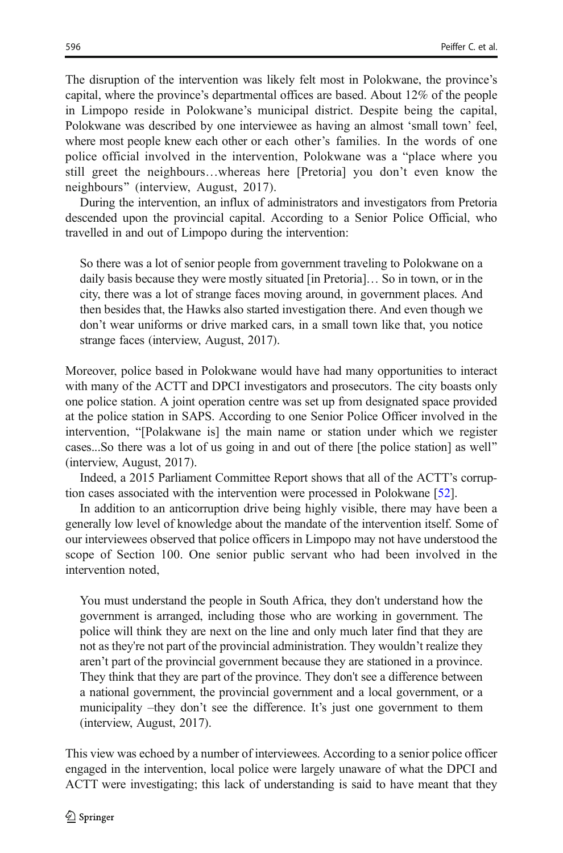The disruption of the intervention was likely felt most in Polokwane, the province's capital, where the province's departmental offices are based. About 12% of the people in Limpopo reside in Polokwane's municipal district. Despite being the capital, Polokwane was described by one interviewee as having an almost 'small town' feel, where most people knew each other or each other's families. In the words of one police official involved in the intervention, Polokwane was a "place where you still greet the neighbours…whereas here [Pretoria] you don't even know the neighbours" (interview, August, 2017).

During the intervention, an influx of administrators and investigators from Pretoria descended upon the provincial capital. According to a Senior Police Official, who travelled in and out of Limpopo during the intervention:

So there was a lot of senior people from government traveling to Polokwane on a daily basis because they were mostly situated [in Pretoria]… So in town, or in the city, there was a lot of strange faces moving around, in government places. And then besides that, the Hawks also started investigation there. And even though we don't wear uniforms or drive marked cars, in a small town like that, you notice strange faces (interview, August, 2017).

Moreover, police based in Polokwane would have had many opportunities to interact with many of the ACTT and DPCI investigators and prosecutors. The city boasts only one police station. A joint operation centre was set up from designated space provided at the police station in SAPS. According to one Senior Police Officer involved in the intervention, "[Polakwane is] the main name or station under which we register cases...So there was a lot of us going in and out of there [the police station] as well^ (interview, August, 2017).

Indeed, a 2015 Parliament Committee Report shows that all of the ACTT's corruption cases associated with the intervention were processed in Polokwane [[52\]](#page-19-0).

In addition to an anticorruption drive being highly visible, there may have been a generally low level of knowledge about the mandate of the intervention itself. Some of our interviewees observed that police officers in Limpopo may not have understood the scope of Section 100. One senior public servant who had been involved in the intervention noted,

You must understand the people in South Africa, they don't understand how the government is arranged, including those who are working in government. The police will think they are next on the line and only much later find that they are not as they're not part of the provincial administration. They wouldn't realize they aren't part of the provincial government because they are stationed in a province. They think that they are part of the province. They don't see a difference between a national government, the provincial government and a local government, or a municipality –they don't see the difference. It's just one government to them (interview, August, 2017).

This view was echoed by a number of interviewees. According to a senior police officer engaged in the intervention, local police were largely unaware of what the DPCI and ACTT were investigating; this lack of understanding is said to have meant that they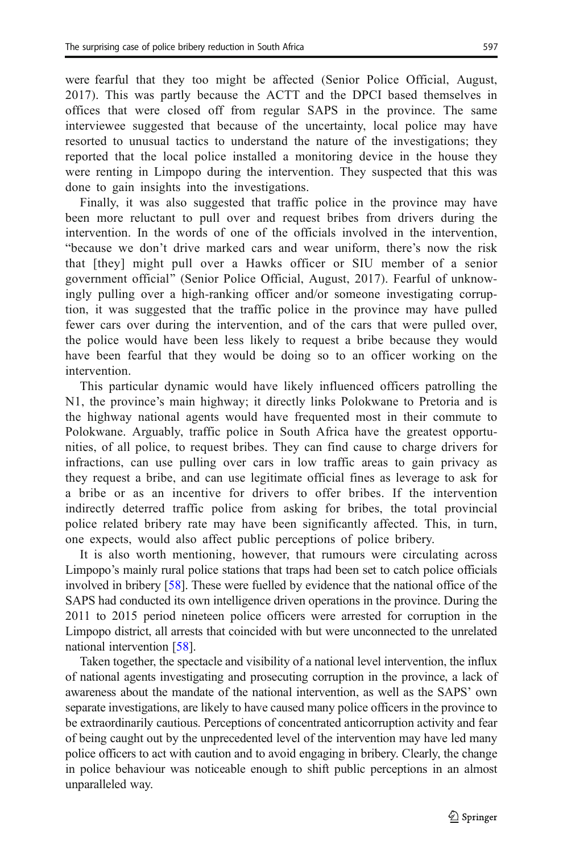were fearful that they too might be affected (Senior Police Official, August, 2017). This was partly because the ACTT and the DPCI based themselves in offices that were closed off from regular SAPS in the province. The same interviewee suggested that because of the uncertainty, local police may have resorted to unusual tactics to understand the nature of the investigations; they reported that the local police installed a monitoring device in the house they were renting in Limpopo during the intervention. They suspected that this was done to gain insights into the investigations.

Finally, it was also suggested that traffic police in the province may have been more reluctant to pull over and request bribes from drivers during the intervention. In the words of one of the officials involved in the intervention, Bbecause we don't drive marked cars and wear uniform, there's now the risk that [they] might pull over a Hawks officer or SIU member of a senior government official^ (Senior Police Official, August, 2017). Fearful of unknowingly pulling over a high-ranking officer and/or someone investigating corruption, it was suggested that the traffic police in the province may have pulled fewer cars over during the intervention, and of the cars that were pulled over, the police would have been less likely to request a bribe because they would have been fearful that they would be doing so to an officer working on the intervention.

This particular dynamic would have likely influenced officers patrolling the N1, the province's main highway; it directly links Polokwane to Pretoria and is the highway national agents would have frequented most in their commute to Polokwane. Arguably, traffic police in South Africa have the greatest opportunities, of all police, to request bribes. They can find cause to charge drivers for infractions, can use pulling over cars in low traffic areas to gain privacy as they request a bribe, and can use legitimate official fines as leverage to ask for a bribe or as an incentive for drivers to offer bribes. If the intervention indirectly deterred traffic police from asking for bribes, the total provincial police related bribery rate may have been significantly affected. This, in turn, one expects, would also affect public perceptions of police bribery.

It is also worth mentioning, however, that rumours were circulating across Limpopo's mainly rural police stations that traps had been set to catch police officials involved in bribery [\[58](#page-19-0)]. These were fuelled by evidence that the national office of the SAPS had conducted its own intelligence driven operations in the province. During the 2011 to 2015 period nineteen police officers were arrested for corruption in the Limpopo district, all arrests that coincided with but were unconnected to the unrelated national intervention [[58](#page-19-0)].

Taken together, the spectacle and visibility of a national level intervention, the influx of national agents investigating and prosecuting corruption in the province, a lack of awareness about the mandate of the national intervention, as well as the SAPS' own separate investigations, are likely to have caused many police officers in the province to be extraordinarily cautious. Perceptions of concentrated anticorruption activity and fear of being caught out by the unprecedented level of the intervention may have led many police officers to act with caution and to avoid engaging in bribery. Clearly, the change in police behaviour was noticeable enough to shift public perceptions in an almost unparalleled way.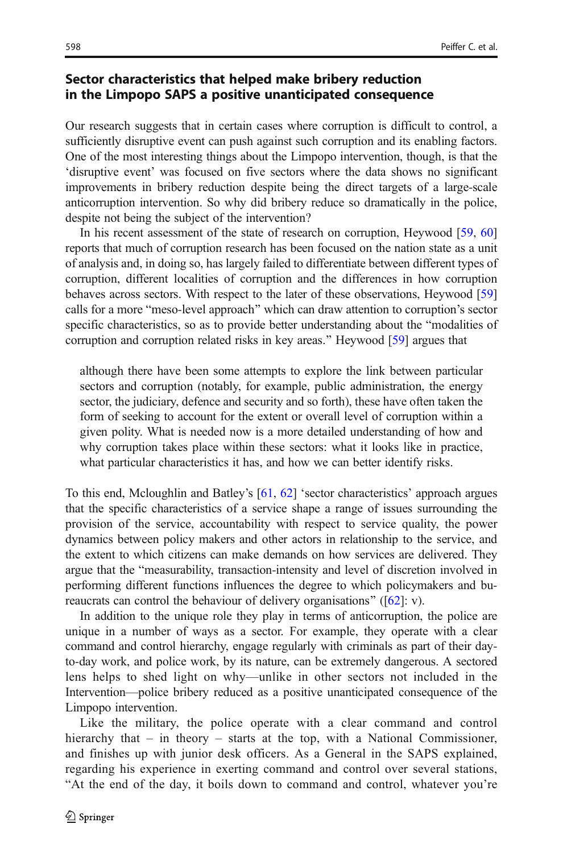### Sector characteristics that helped make bribery reduction in the Limpopo SAPS a positive unanticipated consequence

Our research suggests that in certain cases where corruption is difficult to control, a sufficiently disruptive event can push against such corruption and its enabling factors. One of the most interesting things about the Limpopo intervention, though, is that the 'disruptive event' was focused on five sectors where the data shows no significant improvements in bribery reduction despite being the direct targets of a large-scale anticorruption intervention. So why did bribery reduce so dramatically in the police, despite not being the subject of the intervention?

In his recent assessment of the state of research on corruption, Heywood [[59,](#page-19-0) [60](#page-19-0)] reports that much of corruption research has been focused on the nation state as a unit of analysis and, in doing so, has largely failed to differentiate between different types of corruption, different localities of corruption and the differences in how corruption behaves across sectors. With respect to the later of these observations, Heywood [\[59](#page-19-0)] calls for a more "meso-level approach" which can draw attention to corruption's sector specific characteristics, so as to provide better understanding about the "modalities of corruption and corruption related risks in key areas." Heywood [\[59\]](#page-19-0) argues that

although there have been some attempts to explore the link between particular sectors and corruption (notably, for example, public administration, the energy sector, the judiciary, defence and security and so forth), these have often taken the form of seeking to account for the extent or overall level of corruption within a given polity. What is needed now is a more detailed understanding of how and why corruption takes place within these sectors: what it looks like in practice, what particular characteristics it has, and how we can better identify risks.

To this end, Mcloughlin and Batley's [[61](#page-19-0), [62\]](#page-19-0) 'sector characteristics' approach argues that the specific characteristics of a service shape a range of issues surrounding the provision of the service, accountability with respect to service quality, the power dynamics between policy makers and other actors in relationship to the service, and the extent to which citizens can make demands on how services are delivered. They argue that the "measurability, transaction-intensity and level of discretion involved in performing different functions influences the degree to which policymakers and bureaucrats can control the behaviour of delivery organisations" ( $[62]$  $[62]$ : v).

In addition to the unique role they play in terms of anticorruption, the police are unique in a number of ways as a sector. For example, they operate with a clear command and control hierarchy, engage regularly with criminals as part of their dayto-day work, and police work, by its nature, can be extremely dangerous. A sectored lens helps to shed light on why—unlike in other sectors not included in the Intervention—police bribery reduced as a positive unanticipated consequence of the Limpopo intervention.

Like the military, the police operate with a clear command and control hierarchy that – in theory – starts at the top, with a National Commissioner, and finishes up with junior desk officers. As a General in the SAPS explained, regarding his experience in exerting command and control over several stations, At the end of the day, it boils down to command and control, whatever you're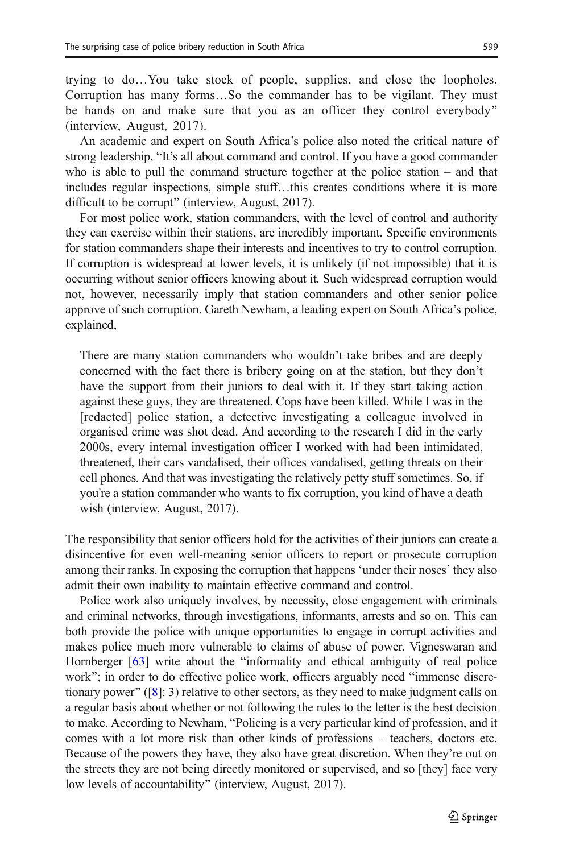trying to do…You take stock of people, supplies, and close the loopholes. Corruption has many forms…So the commander has to be vigilant. They must be hands on and make sure that you as an officer they control everybody" (interview, August, 2017).

An academic and expert on South Africa's police also noted the critical nature of strong leadership, "It's all about command and control. If you have a good commander who is able to pull the command structure together at the police station – and that includes regular inspections, simple stuff…this creates conditions where it is more difficult to be corrupt" (interview, August, 2017).

For most police work, station commanders, with the level of control and authority they can exercise within their stations, are incredibly important. Specific environments for station commanders shape their interests and incentives to try to control corruption. If corruption is widespread at lower levels, it is unlikely (if not impossible) that it is occurring without senior officers knowing about it. Such widespread corruption would not, however, necessarily imply that station commanders and other senior police approve of such corruption. Gareth Newham, a leading expert on South Africa's police, explained,

There are many station commanders who wouldn't take bribes and are deeply concerned with the fact there is bribery going on at the station, but they don't have the support from their juniors to deal with it. If they start taking action against these guys, they are threatened. Cops have been killed. While I was in the [redacted] police station, a detective investigating a colleague involved in organised crime was shot dead. And according to the research I did in the early 2000s, every internal investigation officer I worked with had been intimidated, threatened, their cars vandalised, their offices vandalised, getting threats on their cell phones. And that was investigating the relatively petty stuff sometimes. So, if you're a station commander who wants to fix corruption, you kind of have a death wish (interview, August, 2017).

The responsibility that senior officers hold for the activities of their juniors can create a disincentive for even well-meaning senior officers to report or prosecute corruption among their ranks. In exposing the corruption that happens 'under their noses' they also admit their own inability to maintain effective command and control.

Police work also uniquely involves, by necessity, close engagement with criminals and criminal networks, through investigations, informants, arrests and so on. This can both provide the police with unique opportunities to engage in corrupt activities and makes police much more vulnerable to claims of abuse of power. Vigneswaran and Hornberger [\[63](#page-19-0)] write about the "informality and ethical ambiguity of real police work"; in order to do effective police work, officers arguably need "immense discretionary power" ( $[8]$  $[8]$ : 3) relative to other sectors, as they need to make judgment calls on a regular basis about whether or not following the rules to the letter is the best decision to make. According to Newham, "Policing is a very particular kind of profession, and it comes with a lot more risk than other kinds of professions – teachers, doctors etc. Because of the powers they have, they also have great discretion. When they're out on the streets they are not being directly monitored or supervised, and so [they] face very low levels of accountability" (interview, August, 2017).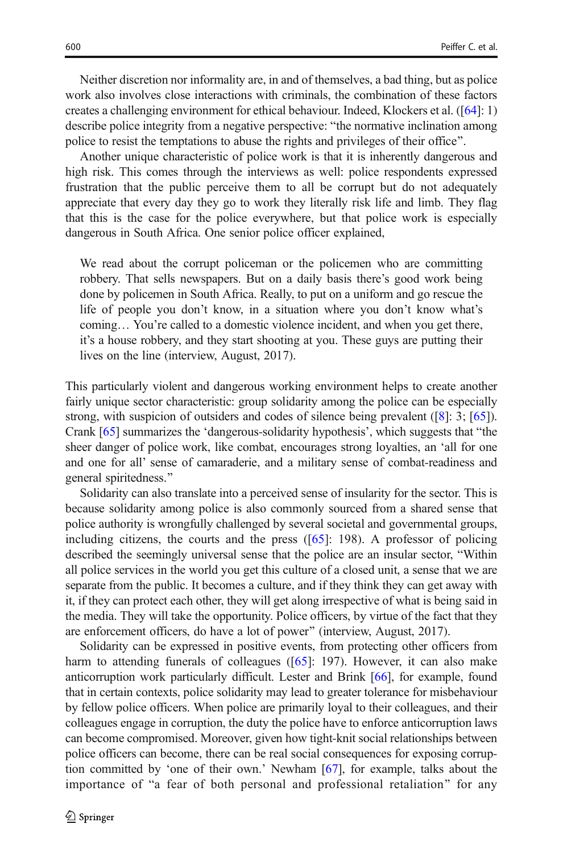Neither discretion nor informality are, in and of themselves, a bad thing, but as police work also involves close interactions with criminals, the combination of these factors creates a challenging environment for ethical behaviour. Indeed, Klockers et al. ([[64](#page-19-0)]: 1) describe police integrity from a negative perspective: "the normative inclination among police to resist the temptations to abuse the rights and privileges of their office^.

Another unique characteristic of police work is that it is inherently dangerous and high risk. This comes through the interviews as well: police respondents expressed frustration that the public perceive them to all be corrupt but do not adequately appreciate that every day they go to work they literally risk life and limb. They flag that this is the case for the police everywhere, but that police work is especially dangerous in South Africa. One senior police officer explained,

We read about the corrupt policeman or the policemen who are committing robbery. That sells newspapers. But on a daily basis there's good work being done by policemen in South Africa. Really, to put on a uniform and go rescue the life of people you don't know, in a situation where you don't know what's coming… You're called to a domestic violence incident, and when you get there, it's a house robbery, and they start shooting at you. These guys are putting their lives on the line (interview, August, 2017).

This particularly violent and dangerous working environment helps to create another fairly unique sector characteristic: group solidarity among the police can be especially strong, with suspicion of outsiders and codes of silence being prevalent ([\[8](#page-17-0)]: 3; [[65\]](#page-19-0)). Crank  $[65]$  $[65]$  summarizes the 'dangerous-solidarity hypothesis', which suggests that "the sheer danger of police work, like combat, encourages strong loyalties, an 'all for one and one for all' sense of camaraderie, and a military sense of combat-readiness and general spiritedness.^

Solidarity can also translate into a perceived sense of insularity for the sector. This is because solidarity among police is also commonly sourced from a shared sense that police authority is wrongfully challenged by several societal and governmental groups, including citizens, the courts and the press ([\[65\]](#page-19-0): 198). A professor of policing described the seemingly universal sense that the police are an insular sector, "Within all police services in the world you get this culture of a closed unit, a sense that we are separate from the public. It becomes a culture, and if they think they can get away with it, if they can protect each other, they will get along irrespective of what is being said in the media. They will take the opportunity. Police officers, by virtue of the fact that they are enforcement officers, do have a lot of power^ (interview, August, 2017).

Solidarity can be expressed in positive events, from protecting other officers from harm to attending funerals of colleagues ([\[65](#page-19-0)]: 197). However, it can also make anticorruption work particularly difficult. Lester and Brink [[66](#page-19-0)], for example, found that in certain contexts, police solidarity may lead to greater tolerance for misbehaviour by fellow police officers. When police are primarily loyal to their colleagues, and their colleagues engage in corruption, the duty the police have to enforce anticorruption laws can become compromised. Moreover, given how tight-knit social relationships between police officers can become, there can be real social consequences for exposing corruption committed by 'one of their own.' Newham [\[67\]](#page-19-0), for example, talks about the importance of "a fear of both personal and professional retaliation" for any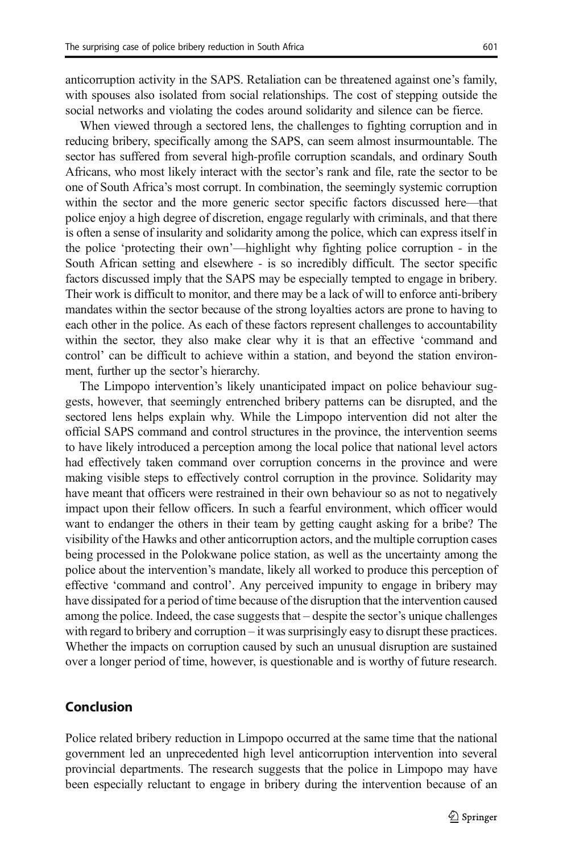anticorruption activity in the SAPS. Retaliation can be threatened against one's family, with spouses also isolated from social relationships. The cost of stepping outside the social networks and violating the codes around solidarity and silence can be fierce.

When viewed through a sectored lens, the challenges to fighting corruption and in reducing bribery, specifically among the SAPS, can seem almost insurmountable. The sector has suffered from several high-profile corruption scandals, and ordinary South Africans, who most likely interact with the sector's rank and file, rate the sector to be one of South Africa's most corrupt. In combination, the seemingly systemic corruption within the sector and the more generic sector specific factors discussed here—that police enjoy a high degree of discretion, engage regularly with criminals, and that there is often a sense of insularity and solidarity among the police, which can express itself in the police 'protecting their own'—highlight why fighting police corruption - in the South African setting and elsewhere - is so incredibly difficult. The sector specific factors discussed imply that the SAPS may be especially tempted to engage in bribery. Their work is difficult to monitor, and there may be a lack of will to enforce anti-bribery mandates within the sector because of the strong loyalties actors are prone to having to each other in the police. As each of these factors represent challenges to accountability within the sector, they also make clear why it is that an effective 'command and control' can be difficult to achieve within a station, and beyond the station environment, further up the sector's hierarchy.

The Limpopo intervention's likely unanticipated impact on police behaviour suggests, however, that seemingly entrenched bribery patterns can be disrupted, and the sectored lens helps explain why. While the Limpopo intervention did not alter the official SAPS command and control structures in the province, the intervention seems to have likely introduced a perception among the local police that national level actors had effectively taken command over corruption concerns in the province and were making visible steps to effectively control corruption in the province. Solidarity may have meant that officers were restrained in their own behaviour so as not to negatively impact upon their fellow officers. In such a fearful environment, which officer would want to endanger the others in their team by getting caught asking for a bribe? The visibility of the Hawks and other anticorruption actors, and the multiple corruption cases being processed in the Polokwane police station, as well as the uncertainty among the police about the intervention's mandate, likely all worked to produce this perception of effective 'command and control'. Any perceived impunity to engage in bribery may have dissipated for a period of time because of the disruption that the intervention caused among the police. Indeed, the case suggests that – despite the sector's unique challenges with regard to bribery and corruption – it was surprisingly easy to disrupt these practices. Whether the impacts on corruption caused by such an unusual disruption are sustained over a longer period of time, however, is questionable and is worthy of future research.

# Conclusion

Police related bribery reduction in Limpopo occurred at the same time that the national government led an unprecedented high level anticorruption intervention into several provincial departments. The research suggests that the police in Limpopo may have been especially reluctant to engage in bribery during the intervention because of an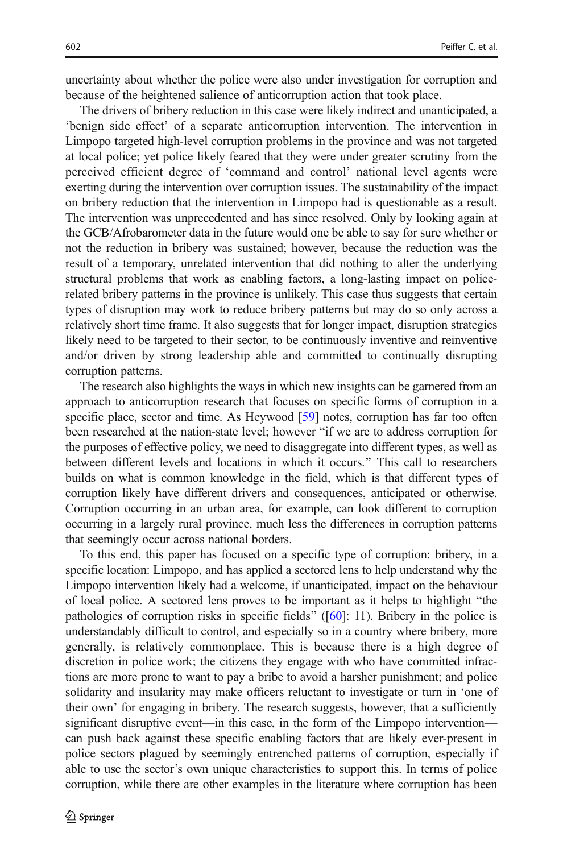uncertainty about whether the police were also under investigation for corruption and because of the heightened salience of anticorruption action that took place.

The drivers of bribery reduction in this case were likely indirect and unanticipated, a 'benign side effect' of a separate anticorruption intervention. The intervention in Limpopo targeted high-level corruption problems in the province and was not targeted at local police; yet police likely feared that they were under greater scrutiny from the perceived efficient degree of 'command and control' national level agents were exerting during the intervention over corruption issues. The sustainability of the impact on bribery reduction that the intervention in Limpopo had is questionable as a result. The intervention was unprecedented and has since resolved. Only by looking again at the GCB/Afrobarometer data in the future would one be able to say for sure whether or not the reduction in bribery was sustained; however, because the reduction was the result of a temporary, unrelated intervention that did nothing to alter the underlying structural problems that work as enabling factors, a long-lasting impact on policerelated bribery patterns in the province is unlikely. This case thus suggests that certain types of disruption may work to reduce bribery patterns but may do so only across a relatively short time frame. It also suggests that for longer impact, disruption strategies likely need to be targeted to their sector, to be continuously inventive and reinventive and/or driven by strong leadership able and committed to continually disrupting corruption patterns.

The research also highlights the ways in which new insights can be garnered from an approach to anticorruption research that focuses on specific forms of corruption in a specific place, sector and time. As Heywood [\[59\]](#page-19-0) notes, corruption has far too often been researched at the nation-state level; however "if we are to address corruption for the purposes of effective policy, we need to disaggregate into different types, as well as between different levels and locations in which it occurs.^ This call to researchers builds on what is common knowledge in the field, which is that different types of corruption likely have different drivers and consequences, anticipated or otherwise. Corruption occurring in an urban area, for example, can look different to corruption occurring in a largely rural province, much less the differences in corruption patterns that seemingly occur across national borders.

To this end, this paper has focused on a specific type of corruption: bribery, in a specific location: Limpopo, and has applied a sectored lens to help understand why the Limpopo intervention likely had a welcome, if unanticipated, impact on the behaviour of local police. A sectored lens proves to be important as it helps to highlight "the pathologies of corruption risks in specific fields" ( $[60]$  $[60]$ : 11). Bribery in the police is understandably difficult to control, and especially so in a country where bribery, more generally, is relatively commonplace. This is because there is a high degree of discretion in police work; the citizens they engage with who have committed infractions are more prone to want to pay a bribe to avoid a harsher punishment; and police solidarity and insularity may make officers reluctant to investigate or turn in 'one of their own' for engaging in bribery. The research suggests, however, that a sufficiently significant disruptive event—in this case, in the form of the Limpopo intervention can push back against these specific enabling factors that are likely ever-present in police sectors plagued by seemingly entrenched patterns of corruption, especially if able to use the sector's own unique characteristics to support this. In terms of police corruption, while there are other examples in the literature where corruption has been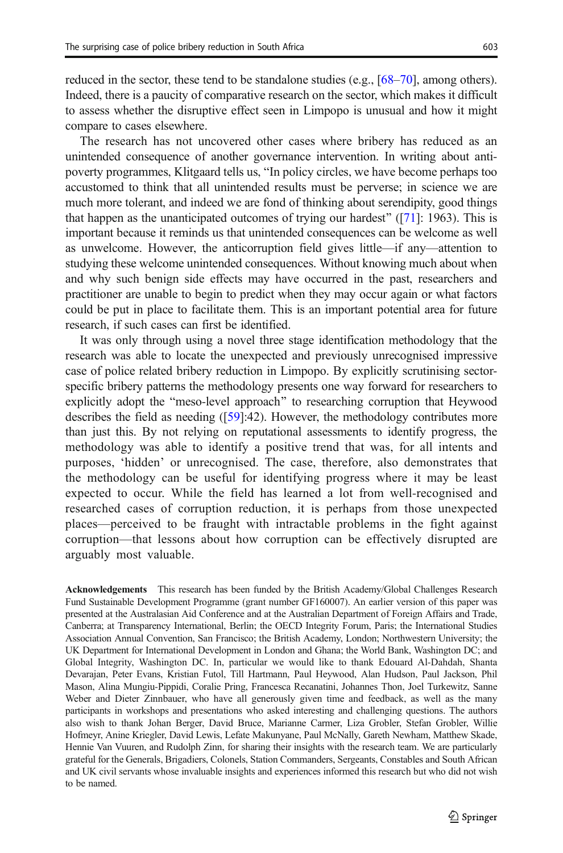reduced in the sector, these tend to be standalone studies (e.g., [[68](#page-19-0)–[70](#page-19-0)], among others). Indeed, there is a paucity of comparative research on the sector, which makes it difficult to assess whether the disruptive effect seen in Limpopo is unusual and how it might compare to cases elsewhere.

The research has not uncovered other cases where bribery has reduced as an unintended consequence of another governance intervention. In writing about antipoverty programmes, Klitgaard tells us, BIn policy circles, we have become perhaps too accustomed to think that all unintended results must be perverse; in science we are much more tolerant, and indeed we are fond of thinking about serendipity, good things that happen as the unanticipated outcomes of trying our hardest"  $(71]$ : 1963). This is important because it reminds us that unintended consequences can be welcome as well as unwelcome. However, the anticorruption field gives little—if any—attention to studying these welcome unintended consequences. Without knowing much about when and why such benign side effects may have occurred in the past, researchers and practitioner are unable to begin to predict when they may occur again or what factors could be put in place to facilitate them. This is an important potential area for future research, if such cases can first be identified.

It was only through using a novel three stage identification methodology that the research was able to locate the unexpected and previously unrecognised impressive case of police related bribery reduction in Limpopo. By explicitly scrutinising sectorspecific bribery patterns the methodology presents one way forward for researchers to explicitly adopt the "meso-level approach" to researching corruption that Heywood describes the field as needing ([[59](#page-19-0)]:42). However, the methodology contributes more than just this. By not relying on reputational assessments to identify progress, the methodology was able to identify a positive trend that was, for all intents and purposes, 'hidden' or unrecognised. The case, therefore, also demonstrates that the methodology can be useful for identifying progress where it may be least expected to occur. While the field has learned a lot from well-recognised and researched cases of corruption reduction, it is perhaps from those unexpected places—perceived to be fraught with intractable problems in the fight against corruption—that lessons about how corruption can be effectively disrupted are arguably most valuable.

Acknowledgements This research has been funded by the British Academy/Global Challenges Research Fund Sustainable Development Programme (grant number GF160007). An earlier version of this paper was presented at the Australasian Aid Conference and at the Australian Department of Foreign Affairs and Trade, Canberra; at Transparency International, Berlin; the OECD Integrity Forum, Paris; the International Studies Association Annual Convention, San Francisco; the British Academy, London; Northwestern University; the UK Department for International Development in London and Ghana; the World Bank, Washington DC; and Global Integrity, Washington DC. In, particular we would like to thank Edouard Al-Dahdah, Shanta Devarajan, Peter Evans, Kristian Futol, Till Hartmann, Paul Heywood, Alan Hudson, Paul Jackson, Phil Mason, Alina Mungiu-Pippidi, Coralie Pring, Francesca Recanatini, Johannes Thon, Joel Turkewitz, Sanne Weber and Dieter Zinnbauer, who have all generously given time and feedback, as well as the many participants in workshops and presentations who asked interesting and challenging questions. The authors also wish to thank Johan Berger, David Bruce, Marianne Carmer, Liza Grobler, Stefan Grobler, Willie Hofmeyr, Anine Kriegler, David Lewis, Lefate Makunyane, Paul McNally, Gareth Newham, Matthew Skade, Hennie Van Vuuren, and Rudolph Zinn, for sharing their insights with the research team. We are particularly grateful for the Generals, Brigadiers, Colonels, Station Commanders, Sergeants, Constables and South African and UK civil servants whose invaluable insights and experiences informed this research but who did not wish to be named.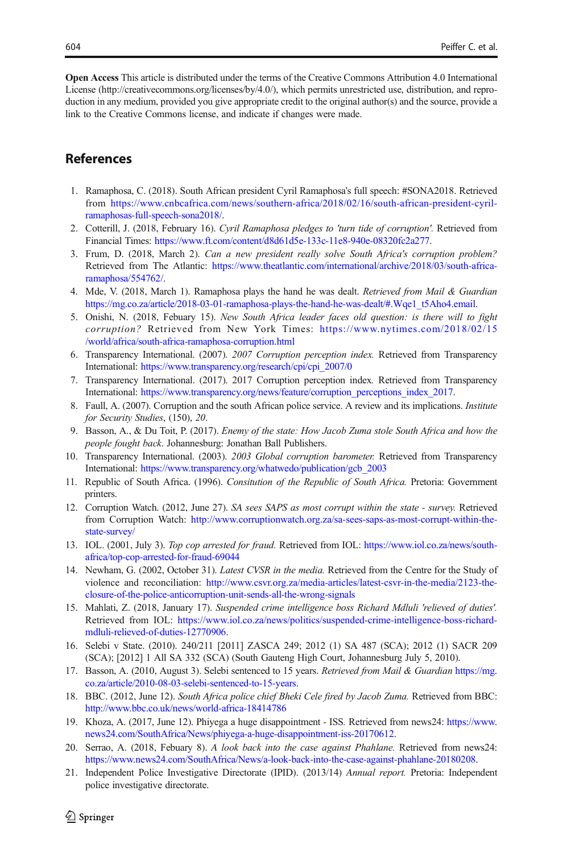<span id="page-17-0"></span>Open Access This article is distributed under the terms of the Creative Commons Attribution 4.0 International License (http://creativecommons.org/licenses/by/4.0/), which permits unrestricted use, distribution, and reproduction in any medium, provided you give appropriate credit to the original author(s) and the source, provide a link to the Creative Commons license, and indicate if changes were made.

# References

- 1. Ramaphosa, C. (2018). South African president Cyril Ramaphosa's full speech: #SONA2018. Retrieved from [https://www.cnbcafrica.com/news/southern-africa/2018/02/16/south-african-president-cyril](https://www.cnbcafrica.com/news/southern-africa/2018/02/16/south-african-president-cyril-ramaphosas-full-speech-sona2018/)[ramaphosas-full-speech-sona2018/](https://www.cnbcafrica.com/news/southern-africa/2018/02/16/south-african-president-cyril-ramaphosas-full-speech-sona2018/).
- 2. Cotterill, J. (2018, February 16). Cyril Ramaphosa pledges to 'turn tide of corruption'. Retrieved from Financial Times: <https://www.ft.com/content/d8d61d5e-133c-11e8-940e-08320fc2a277>.
- 3. Frum, D. (2018, March 2). Can a new president really solve South Africa's corruption problem? Retrieved from The Atlantic: [https://www.theatlantic.com/international/archive/2018/03/south-africa](https://www.theatlantic.com/international/archive/2018/03/south-africa-ramaphosa/554762/)[ramaphosa/554762/](https://www.theatlantic.com/international/archive/2018/03/south-africa-ramaphosa/554762/).
- 4. Mde, V. (2018, March 1). Ramaphosa plays the hand he was dealt. Retrieved from Mail & Guardian [https://mg.co.za/article/2018-03-01-ramaphosa-plays-the-hand-he-was-dealt/#.Wqe1\\_t5Aho4.email](https://mg.co.za/article/2018-03-01-ramaphosa-plays-the-hand-he-was-dealt/#.Wqe1_t5Aho4.email).
- 5. Onishi, N. (2018, Febuary 15). New South Africa leader faces old question: is there will to fight corruption? Retrieved from New York Times: [https://www.nytimes.com/2018/02/15](https://www.nytimes.com/2018/02/15/world/africa/south-africa-ramaphosa-corruption.html) [/world/africa/south-africa-ramaphosa-corruption.html](https://www.nytimes.com/2018/02/15/world/africa/south-africa-ramaphosa-corruption.html)
- 6. Transparency International. (2007). 2007 Corruption perception index. Retrieved from Transparency International: [https://www.transparency.org/research/cpi/cpi\\_2007/0](https://www.transparency.org/research/cpi/cpi_2007/0)
- 7. Transparency International. (2017). 2017 Corruption perception index. Retrieved from Transparency International: [https://www.transparency.org/news/feature/corruption\\_perceptions\\_index\\_2017.](https://www.transparency.org/news/feature/corruption_perceptions_index_2017)
- 8. Faull, A. (2007). Corruption and the south African police service. A review and its implications. Institute for Security Studies, (150), 20.
- 9. Basson, A., & Du Toit, P. (2017). Enemy of the state: How Jacob Zuma stole South Africa and how the people fought back. Johannesburg: Jonathan Ball Publishers.
- 10. Transparency International. (2003). 2003 Global corruption barometer. Retrieved from Transparency International: [https://www.transparency.org/whatwedo/publication/gcb\\_2003](https://www.transparency.org/whatwedo/publication/gcb_2003)
- 11. Republic of South Africa. (1996). Consitution of the Republic of South Africa. Pretoria: Government printers.
- 12. Corruption Watch. (2012, June 27). SA sees SAPS as most corrupt within the state survey. Retrieved from Corruption Watch: [http://www.corruptionwatch.org.za/sa-sees-saps-as-most-corrupt-within-the](http://www.corruptionwatch.org.za/sa-sees-saps-as-most-corrupt-within-the-state-survey/)[state-survey/](http://www.corruptionwatch.org.za/sa-sees-saps-as-most-corrupt-within-the-state-survey/)
- 13. IOL. (2001, July 3). Top cop arrested for fraud. Retrieved from IOL: [https://www.iol.co.za/news/south](https://www.iol.co.za/news/south-africa/top-cop-arrested-for-fraud-69044)[africa/top-cop-arrested-for-fraud-69044](https://www.iol.co.za/news/south-africa/top-cop-arrested-for-fraud-69044)
- 14. Newham, G. (2002, October 31). Latest CVSR in the media. Retrieved from the Centre for the Study of violence and reconciliation: [http://www.csvr.org.za/media-articles/latest-csvr-in-the-media/2123-the](http://www.csvr.org.za/media-articles/latest-csvr-in-the-media/2123-the-closure-of-the-police-anticorruption-unit-sends-all-the-wrong-signals)[closure-of-the-police-anticorruption-unit-sends-all-the-wrong-signals](http://www.csvr.org.za/media-articles/latest-csvr-in-the-media/2123-the-closure-of-the-police-anticorruption-unit-sends-all-the-wrong-signals)
- 15. Mahlati, Z. (2018, January 17). Suspended crime intelligence boss Richard Mdluli 'relieved of duties'. Retrieved from IOL: [https://www.iol.co.za/news/politics/suspended-crime-intelligence-boss-richard](https://www.iol.co.za/news/politics/suspended-crime-intelligence-boss-richard-mdluli-relieved-of-duties-12770906)[mdluli-relieved-of-duties-12770906](https://www.iol.co.za/news/politics/suspended-crime-intelligence-boss-richard-mdluli-relieved-of-duties-12770906).
- 16. Selebi v State. (2010). 240/211 [2011] ZASCA 249; 2012 (1) SA 487 (SCA); 2012 (1) SACR 209 (SCA); [2012] 1 All SA 332 (SCA) (South Gauteng High Court, Johannesburg July 5, 2010).
- 17. Basson, A. (2010, August 3). Selebi sentenced to 15 years. Retrieved from Mail & Guardian [https://mg.](https://mg.co.za/article/2010-08-03-selebi-sentenced-to-15-years) [co.za/article/2010-08-03-selebi-sentenced-to-15-years](https://mg.co.za/article/2010-08-03-selebi-sentenced-to-15-years).
- 18. BBC. (2012, June 12). South Africa police chief Bheki Cele fired by Jacob Zuma. Retrieved from BBC: <http://www.bbc.co.uk/news/world-africa-18414786>
- 19. Khoza, A. (2017, June 12). Phiyega a huge disappointment ISS. Retrieved from news24: [https://www.](https://www.news24.com/SouthAfrica/News/phiyega-a-huge-disappointment-iss-20170612) [news24.com/SouthAfrica/News/phiyega-a-huge-disappointment-iss-20170612.](https://www.news24.com/SouthAfrica/News/phiyega-a-huge-disappointment-iss-20170612)
- 20. Serrao, A. (2018, Febuary 8). A look back into the case against Phahlane. Retrieved from news24: <https://www.news24.com/SouthAfrica/News/a-look-back-into-the-case-against-phahlane-20180208>.
- 21. Independent Police Investigative Directorate (IPID). (2013/14) Annual report. Pretoria: Independent police investigative directorate.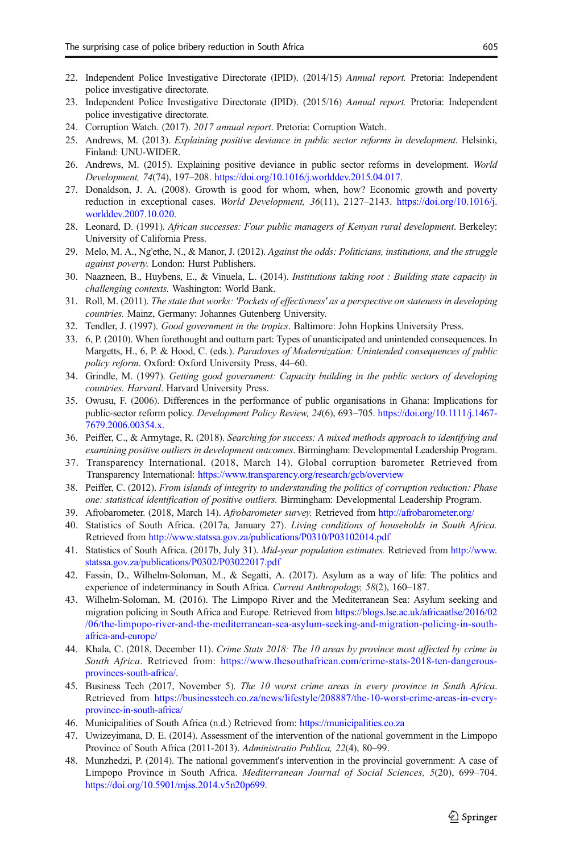- <span id="page-18-0"></span>22. Independent Police Investigative Directorate (IPID). (2014/15) Annual report. Pretoria: Independent police investigative directorate.
- 23. Independent Police Investigative Directorate (IPID). (2015/16) Annual report. Pretoria: Independent police investigative directorate.
- 24. Corruption Watch. (2017). 2017 annual report. Pretoria: Corruption Watch.
- 25. Andrews, M. (2013). Explaining positive deviance in public sector reforms in development. Helsinki, Finland: UNU-WIDER.
- 26. Andrews, M. (2015). Explaining positive deviance in public sector reforms in development. World Development, 74(74), 197–208. <https://doi.org/10.1016/j.worlddev.2015.04.017>.
- 27. Donaldson, J. A. (2008). Growth is good for whom, when, how? Economic growth and poverty reduction in exceptional cases. World Development, 36(11), 2127–2143. [https://doi.org/10.1016/j.](https://doi.org/10.1016/j.worlddev.2007.10.020) [worlddev.2007.10.020.](https://doi.org/10.1016/j.worlddev.2007.10.020)
- 28. Leonard, D. (1991). African successes: Four public managers of Kenyan rural development. Berkeley: University of California Press.
- 29. Melo, M. A., Ng'ethe, N., & Manor, J. (2012). Against the odds: Politicians, institutions, and the struggle against poverty. London: Hurst Publishers.
- 30. Naazneen, B., Huybens, E., & Vinuela, L. (2014). Institutions taking root : Building state capacity in challenging contexts. Washington: World Bank.
- 31. Roll, M. (2011). The state that works: 'Pockets of effectivness' as a perspective on stateness in developing countries. Mainz, Germany: Johannes Gutenberg University.
- 32. Tendler, J. (1997). Good government in the tropics. Baltimore: John Hopkins University Press.
- 33. 6, P. (2010). When forethought and outturn part: Types of unanticipated and unintended consequences. In Margetts, H., 6, P. & Hood, C. (eds.). Paradoxes of Modernization: Unintended consequences of public policy reform. Oxford: Oxford University Press, 44–60.
- 34. Grindle, M. (1997). Getting good government: Capacity building in the public sectors of developing countries. Harvard. Harvard University Press.
- 35. Owusu, F. (2006). Differences in the performance of public organisations in Ghana: Implications for public-sector reform policy. Development Policy Review, 24(6), 693–705. [https://doi.org/10.1111/j.1467-](https://doi.org/10.1111/j.1467-7679.2006.00354.x) [7679.2006.00354.x.](https://doi.org/10.1111/j.1467-7679.2006.00354.x)
- 36. Peiffer, C., & Armytage, R. (2018). Searching for success: A mixed methods approach to identifying and examining positive outliers in development outcomes. Birmingham: Developmental Leadership Program.
- 37. Transparency International. (2018, March 14). Global corruption barometer. Retrieved from Transparency International: <https://www.transparency.org/research/gcb/overview>
- 38. Peiffer, C. (2012). From islands of integrity to understanding the politics of corruption reduction: Phase one: statistical identification of positive outliers. Birmingham: Developmental Leadership Program.
- 39. Afrobarometer. (2018, March 14). Afrobarometer survey. Retrieved from <http://afrobarometer.org/>
- 40. Statistics of South Africa. (2017a, January 27). Living conditions of households in South Africa. Retrieved from <http://www.statssa.gov.za/publications/P0310/P03102014.pdf>
- 41. Statistics of South Africa. (2017b, July 31). Mid-year population estimates. Retrieved from [http://www.](http://www.statssa.gov.za/publications/P0302/P03022017.pdf) [statssa.gov.za/publications/P0302/P03022017.pdf](http://www.statssa.gov.za/publications/P0302/P03022017.pdf)
- 42. Fassin, D., Wilhelm-Soloman, M., & Segatti, A. (2017). Asylum as a way of life: The politics and experience of indeterminancy in South Africa. Current Anthropology, 58(2), 160–187.
- 43. Wilhelm-Soloman, M. (2016). The Limpopo River and the Mediterranean Sea: Asylum seeking and migration policing in South Africa and Europe. Retrieved from [https://blogs.lse.ac.uk/africaatlse/2016/02](https://blogs.lse.ac.uk/africaatlse/2016/02/06/the-limpopo-river-and-the-mediterranean-sea-asylum-seeking-and-migration-policing-in-south-africa-and-europe/) [/06/the-limpopo-river-and-the-mediterranean-sea-asylum-seeking-and-migration-policing-in-south](https://blogs.lse.ac.uk/africaatlse/2016/02/06/the-limpopo-river-and-the-mediterranean-sea-asylum-seeking-and-migration-policing-in-south-africa-and-europe/)[africa-and-europe/](https://blogs.lse.ac.uk/africaatlse/2016/02/06/the-limpopo-river-and-the-mediterranean-sea-asylum-seeking-and-migration-policing-in-south-africa-and-europe/)
- 44. Khala, C. (2018, December 11). Crime Stats 2018: The 10 areas by province most affected by crime in South Africa. Retrieved from: [https://www.thesouthafrican.com/crime-stats-2018-ten-dangerous](https://www.thesouthafrican.com/crime-stats-2018-ten-dangerous-provinces-south-africa/)[provinces-south-africa/](https://www.thesouthafrican.com/crime-stats-2018-ten-dangerous-provinces-south-africa/).
- 45. Business Tech (2017, November 5). The 10 worst crime areas in every province in South Africa. Retrieved from [https://businesstech.co.za/news/lifestyle/208887/the-10-worst-crime-areas-in-every](https://businesstech.co.za/news/lifestyle/208887/the-10-worst-crime-areas-in-every-province-in-south-africa/)[province-in-south-africa/](https://businesstech.co.za/news/lifestyle/208887/the-10-worst-crime-areas-in-every-province-in-south-africa/)
- 46. Municipalities of South Africa (n.d.) Retrieved from: <https://municipalities.co.za>
- 47. Uwizeyimana, D. E. (2014). Assessment of the intervention of the national government in the Limpopo Province of South Africa (2011-2013). Administratio Publica, 22(4), 80–99.
- 48. Munzhedzi, P. (2014). The national government's intervention in the provincial government: A case of Limpopo Province in South Africa. Mediterranean Journal of Social Sciences, 5(20), 699–704. [https://doi.org/10.5901/mjss.2014.v5n20p699.](https://doi.org/10.5901/mjss.2014.v5n20p699)